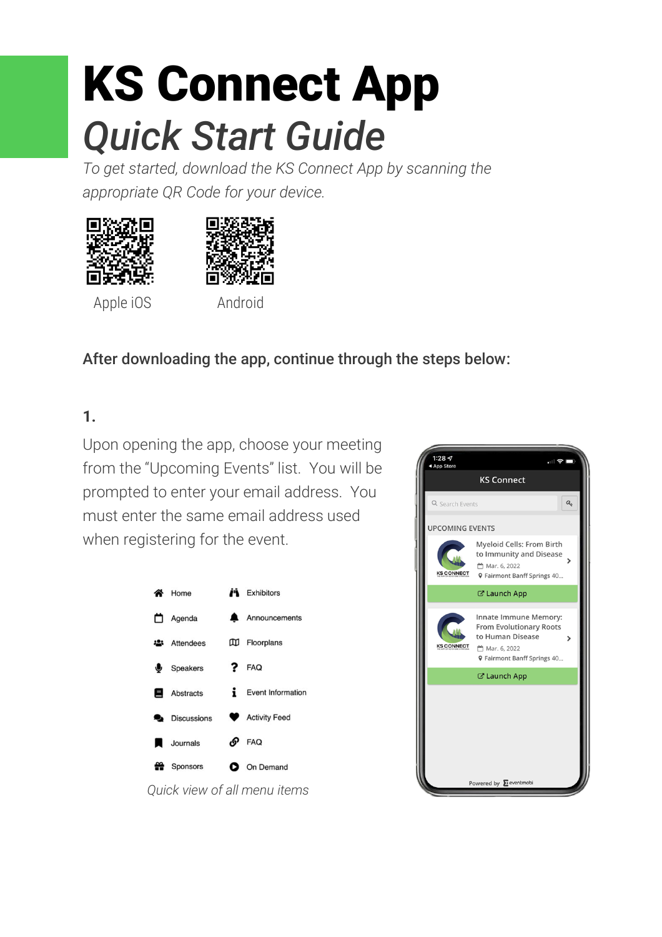# KS Connect App *Quick Start Guide*

*To get started, download the KS Connect App by scanning the appropriate QR Code for your device.*





Apple iOS Android

#### After downloading the app, continue through the steps below:

# **1.**

Upon opening the app, choose your meeting from the "Upcoming Events" list. You will be prompted to enter your email address. You must enter the same email address used when registering for the event.



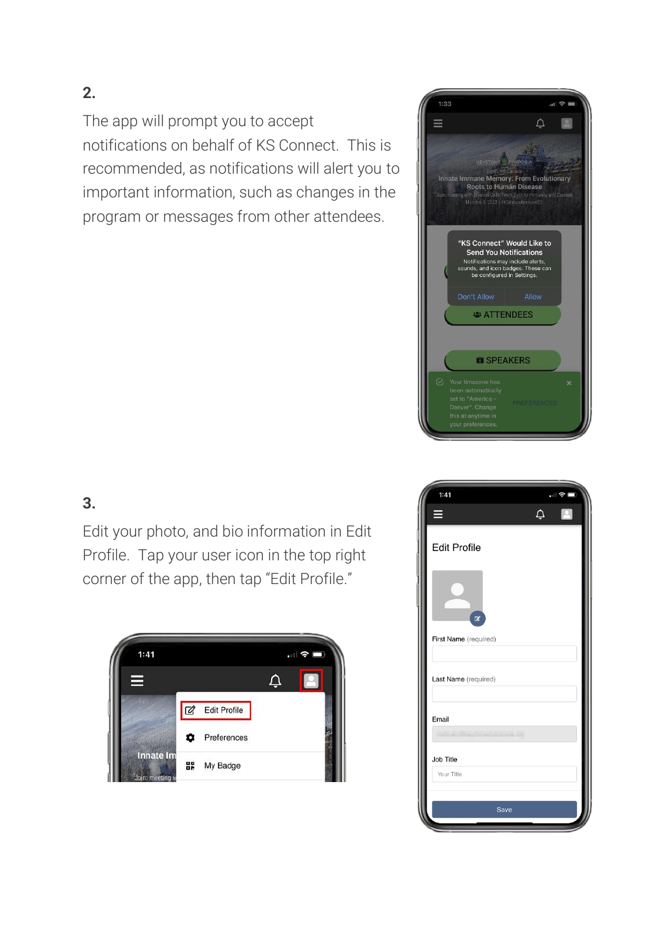The app will prompt you to accept notifications on behalf of KS Connect. This is recommended, as notifications will alert you to important information, such as changes in the program or messages from other attendees.



## **3.**

Edit your photo, and bio information in Edit Profile. Tap your user icon in the top right corner of the app, then tap "Edit Profile."



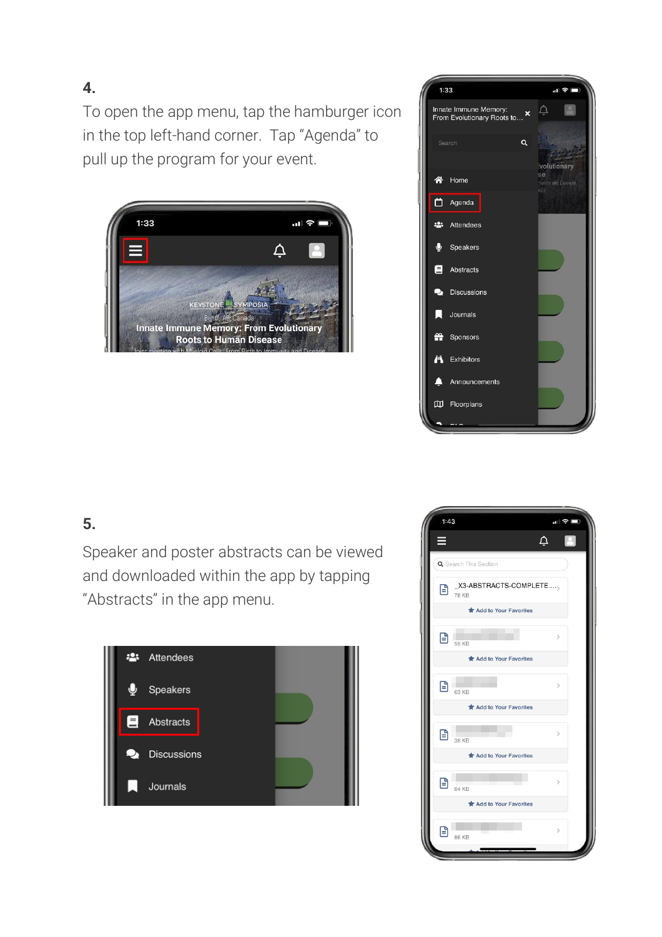To open the app menu, tap the hamburger icon in the top left-hand corner. Tap "Agenda" to pull up the program for your event.





#### **5.**

Speaker and poster abstracts can be viewed and downloaded within the app by tapping "Abstracts" in the app menu.



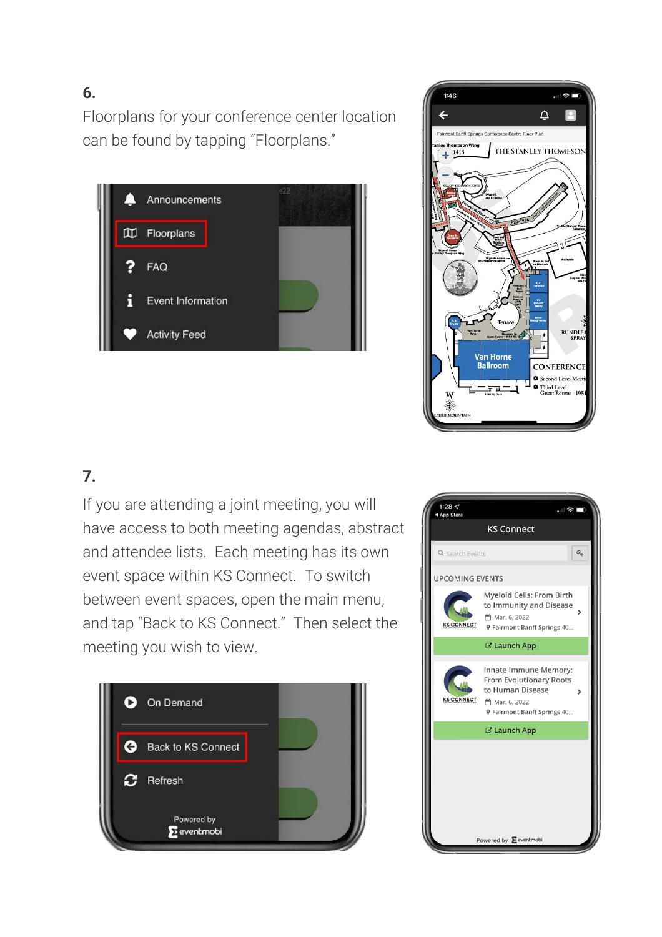Floorplans for your conference center location can be found by tapping "Floorplans."





#### **7.**

If you are attending a joint meeting, you will have access to both meeting agendas, abstract and attendee lists. Each meeting has its own event space within KS Connect. To switch between event spaces, open the main menu, and tap "Back to KS Connect." Then select the meeting you wish to view.